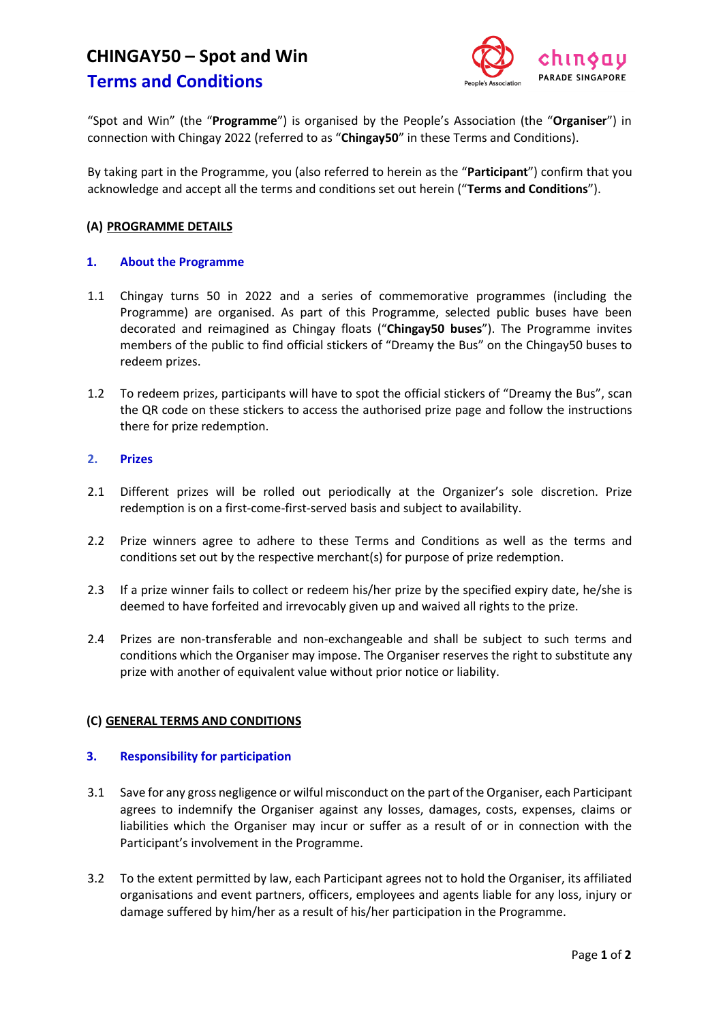# **CHINGAY50 – Spot and Win**



## **Terms and Conditions**

"Spot and Win" (the "**Programme**") is organised by the People's Association (the "**Organiser**") in connection with Chingay 2022 (referred to as "**Chingay50**" in these Terms and Conditions).

By taking part in the Programme, you (also referred to herein as the "**Participant**") confirm that you acknowledge and accept all the terms and conditions set out herein ("**Terms and Conditions**").

#### **(A) PROGRAMME DETAILS**

#### **1. About the Programme**

- 1.1 Chingay turns 50 in 2022 and a series of commemorative programmes (including the Programme) are organised. As part of this Programme, selected public buses have been decorated and reimagined as Chingay floats ("**Chingay50 buses**"). The Programme invites members of the public to find official stickers of "Dreamy the Bus" on the Chingay50 buses to redeem prizes.
- 1.2 To redeem prizes, participants will have to spot the official stickers of "Dreamy the Bus", scan the QR code on these stickers to access the authorised prize page and follow the instructions there for prize redemption.

#### **2. Prizes**

- 2.1 Different prizes will be rolled out periodically at the Organizer's sole discretion. Prize redemption is on a first-come-first-served basis and subject to availability.
- 2.2 Prize winners agree to adhere to these Terms and Conditions as well as the terms and conditions set out by the respective merchant(s) for purpose of prize redemption.
- 2.3 If a prize winner fails to collect or redeem his/her prize by the specified expiry date, he/she is deemed to have forfeited and irrevocably given up and waived all rights to the prize.
- 2.4 Prizes are non-transferable and non-exchangeable and shall be subject to such terms and conditions which the Organiser may impose. The Organiser reserves the right to substitute any prize with another of equivalent value without prior notice or liability.

### **(C) GENERAL TERMS AND CONDITIONS**

#### **3. Responsibility for participation**

- 3.1 Save for any gross negligence or wilful misconduct on the part of the Organiser, each Participant agrees to indemnify the Organiser against any losses, damages, costs, expenses, claims or liabilities which the Organiser may incur or suffer as a result of or in connection with the Participant's involvement in the Programme.
- 3.2 To the extent permitted by law, each Participant agrees not to hold the Organiser, its affiliated organisations and event partners, officers, employees and agents liable for any loss, injury or damage suffered by him/her as a result of his/her participation in the Programme.